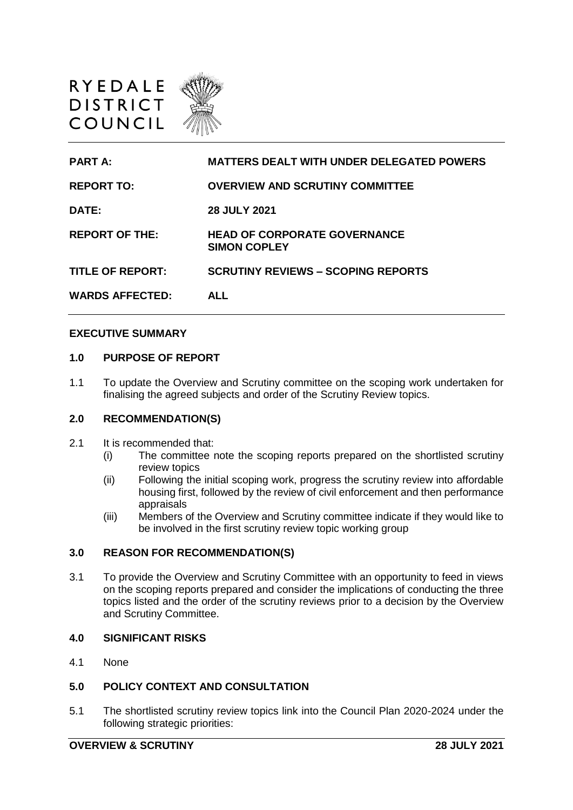



#### **EXECUTIVE SUMMARY**

#### **1.0 PURPOSE OF REPORT**

1.1 To update the Overview and Scrutiny committee on the scoping work undertaken for finalising the agreed subjects and order of the Scrutiny Review topics.

#### **2.0 RECOMMENDATION(S)**

- 2.1 It is recommended that:
	- (i) The committee note the scoping reports prepared on the shortlisted scrutiny review topics
	- (ii) Following the initial scoping work, progress the scrutiny review into affordable housing first, followed by the review of civil enforcement and then performance appraisals
	- (iii) Members of the Overview and Scrutiny committee indicate if they would like to be involved in the first scrutiny review topic working group

## **3.0 REASON FOR RECOMMENDATION(S)**

3.1 To provide the Overview and Scrutiny Committee with an opportunity to feed in views on the scoping reports prepared and consider the implications of conducting the three topics listed and the order of the scrutiny reviews prior to a decision by the Overview and Scrutiny Committee.

#### **4.0 SIGNIFICANT RISKS**

4.1 None

### **5.0 POLICY CONTEXT AND CONSULTATION**

5.1 The shortlisted scrutiny review topics link into the Council Plan 2020-2024 under the following strategic priorities: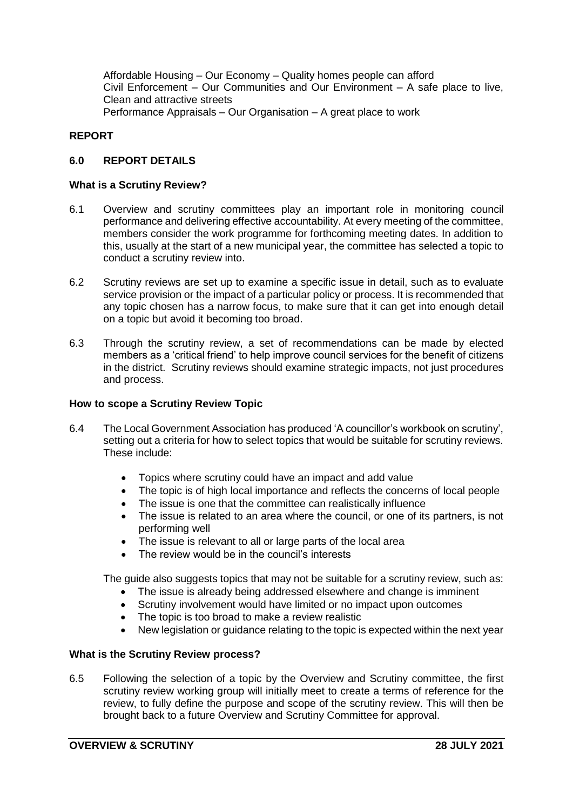Affordable Housing – Our Economy – Quality homes people can afford Civil Enforcement – Our Communities and Our Environment – A safe place to live, Clean and attractive streets Performance Appraisals – Our Organisation – A great place to work

## **REPORT**

### **6.0 REPORT DETAILS**

#### **What is a Scrutiny Review?**

- 6.1 Overview and scrutiny committees play an important role in monitoring council performance and delivering effective accountability. At every meeting of the committee, members consider the work programme for forthcoming meeting dates. In addition to this, usually at the start of a new municipal year, the committee has selected a topic to conduct a scrutiny review into.
- 6.2 Scrutiny reviews are set up to examine a specific issue in detail, such as to evaluate service provision or the impact of a particular policy or process. It is recommended that any topic chosen has a narrow focus, to make sure that it can get into enough detail on a topic but avoid it becoming too broad.
- 6.3 Through the scrutiny review, a set of recommendations can be made by elected members as a 'critical friend' to help improve council services for the benefit of citizens in the district. Scrutiny reviews should examine strategic impacts, not just procedures and process.

#### **How to scope a Scrutiny Review Topic**

- 6.4 The Local Government Association has produced 'A councillor's workbook on scrutiny', setting out a criteria for how to select topics that would be suitable for scrutiny reviews. These include:
	- Topics where scrutiny could have an impact and add value
	- The topic is of high local importance and reflects the concerns of local people
	- The issue is one that the committee can realistically influence
	- The issue is related to an area where the council, or one of its partners, is not performing well
	- The issue is relevant to all or large parts of the local area
	- The review would be in the council's interests

The guide also suggests topics that may not be suitable for a scrutiny review, such as:

- The issue is already being addressed elsewhere and change is imminent
- Scrutiny involvement would have limited or no impact upon outcomes
- The topic is too broad to make a review realistic
- New legislation or guidance relating to the topic is expected within the next year

#### **What is the Scrutiny Review process?**

6.5 Following the selection of a topic by the Overview and Scrutiny committee, the first scrutiny review working group will initially meet to create a terms of reference for the review, to fully define the purpose and scope of the scrutiny review. This will then be brought back to a future Overview and Scrutiny Committee for approval.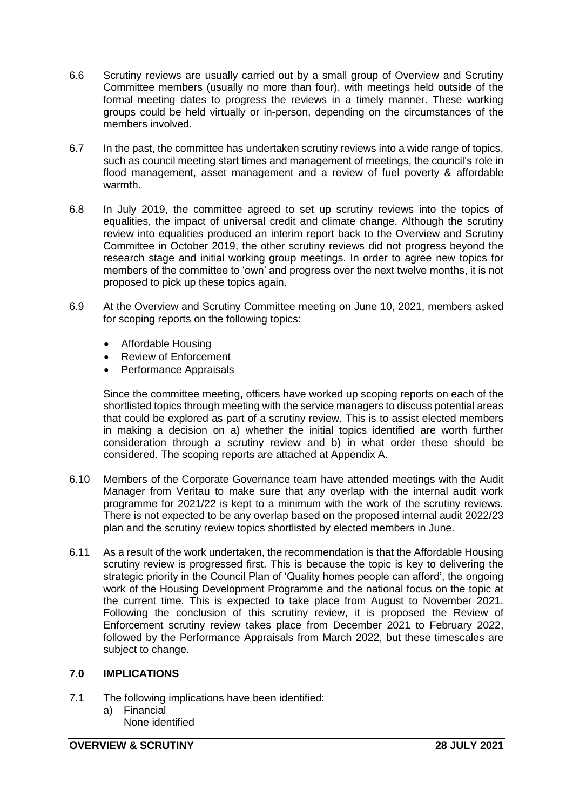- 6.6 Scrutiny reviews are usually carried out by a small group of Overview and Scrutiny Committee members (usually no more than four), with meetings held outside of the formal meeting dates to progress the reviews in a timely manner. These working groups could be held virtually or in-person, depending on the circumstances of the members involved.
- 6.7 In the past, the committee has undertaken scrutiny reviews into a wide range of topics, such as council meeting start times and management of meetings, the council's role in flood management, asset management and a review of fuel poverty & affordable warmth.
- 6.8 In July 2019, the committee agreed to set up scrutiny reviews into the topics of equalities, the impact of universal credit and climate change. Although the scrutiny review into equalities produced an interim report back to the Overview and Scrutiny Committee in October 2019, the other scrutiny reviews did not progress beyond the research stage and initial working group meetings. In order to agree new topics for members of the committee to 'own' and progress over the next twelve months, it is not proposed to pick up these topics again.
- 6.9 At the Overview and Scrutiny Committee meeting on June 10, 2021, members asked for scoping reports on the following topics:
	- Affordable Housing
	- Review of Enforcement
	- Performance Appraisals

Since the committee meeting, officers have worked up scoping reports on each of the shortlisted topics through meeting with the service managers to discuss potential areas that could be explored as part of a scrutiny review. This is to assist elected members in making a decision on a) whether the initial topics identified are worth further consideration through a scrutiny review and b) in what order these should be considered. The scoping reports are attached at Appendix A.

- 6.10 Members of the Corporate Governance team have attended meetings with the Audit Manager from Veritau to make sure that any overlap with the internal audit work programme for 2021/22 is kept to a minimum with the work of the scrutiny reviews. There is not expected to be any overlap based on the proposed internal audit 2022/23 plan and the scrutiny review topics shortlisted by elected members in June.
- 6.11 As a result of the work undertaken, the recommendation is that the Affordable Housing scrutiny review is progressed first. This is because the topic is key to delivering the strategic priority in the Council Plan of 'Quality homes people can afford', the ongoing work of the Housing Development Programme and the national focus on the topic at the current time. This is expected to take place from August to November 2021. Following the conclusion of this scrutiny review, it is proposed the Review of Enforcement scrutiny review takes place from December 2021 to February 2022, followed by the Performance Appraisals from March 2022, but these timescales are subject to change.

### **7.0 IMPLICATIONS**

- 7.1 The following implications have been identified:
	- a) Financial None identified